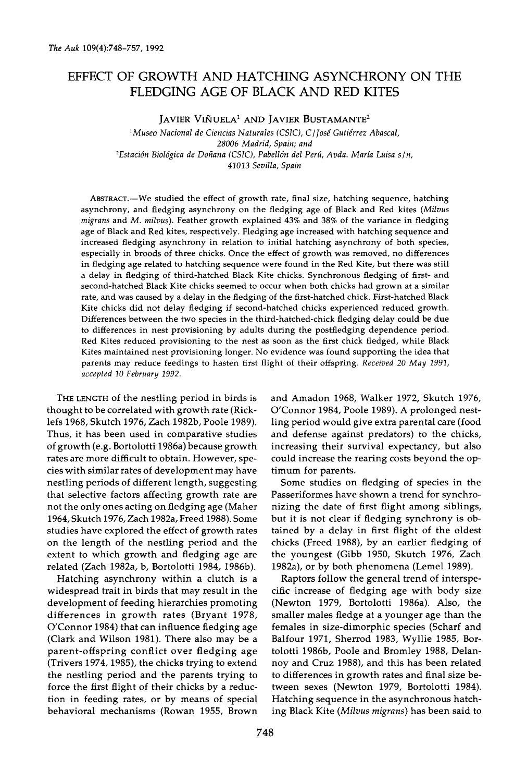# **EFFECT OF GROWTH AND HATCHING ASYNCHRONY ON THE FLEDGING AGE OF BLACK AND RED KITES**

**JAVIER VIÑUELA<sup>1</sup> AND JAVIER BUSTAMANTE<sup>2</sup>** 

<sup>1</sup>Museo Nacional de Ciencias Naturales (CSIC), C / José Gutiérrez Abascal, **28006 Madrid, Spain; and**  <sup>2</sup>Estación Biológica de Doñana (CSIC), Pabellón del Perú, Avda. María Luisa s/n, **41013 Sevilla, Spain** 

**ABSTRACT.--We studied the effect of growth rate, final size, hatching sequence, hatching asynchrony, and fledging asynchrony on the fledging age of Black and Red kites (Milvus migrans and M. milvus). Feather growth explained 43% and 38% of the variance in fledging age of Black and Red kites, respectively. Fledging age increased with hatching sequence and increased fledging asynchrony in relation to initial hatching asynchrony of both species, especially in broods of three chicks. Once the effect of growth was removed, no differences in fledging age related to hatching sequence were found in the Red Kite, but there was still a delay in fledging of third-hatched Black Kite chicks. Synchronous fledging of first- and second-hatched Black Kite chicks seemed to occur when both chicks had grown at a similar rate, and was caused by a delay in the fledging of the first-hatched chick. First-hatched Black Kite chicks did not delay fledging if second-hatched chicks experienced reduced growth. Differences between the two species in the third-hatched-chick fledging delay could be due to differences in nest provisioning by adults during the postfledging dependence period. Red Kites reduced provisioning to the nest as soon as the first chick fledged, while Black Kites maintained nest provisioning longer. No evidence was found supporting the idea that parents may reduce feedings to hasten first flight of their offspring. Received 20 May 1991, accepted 10 February 1992.** 

**THE LENGTH of the nestling period in birds is thought to be correlated with growth rate (Ricklefs 1968, Skutch 1976, Zach 1982b, Poole 1989). Thus, it has been used in comparative studies of growth (e.g. Bortolotti 1986a) because growth rates are more difficult to obtain. However, species with similar rates of development may have nestling periods of different length, suggesting that selective factors affecting growth rate are not the only ones acting on fledging age (Maher 1964, Skutch 1976, Zach 1982a, Freed 1988). Some studies have explored the effect of growth rates on the length of the nestling period and the extent to which growth and fledging age are related (Zach 1982a, b, Bortolotti 1984, 1986b).** 

**Hatching asynchrony within a clutch is a widespread trait in birds that may result in the development of feeding hierarchies promoting differences in growth rates (Bryant 1978, O'Connor 1984) that can influence fledging age (Clark and Wilson 1981). There also may be a parent-offspring conflict over fledging age (Trivers 1974, 1985), the chicks trying to extend the nestling period and the parents trying to force the first flight of their chicks by a reduction in feeding rates, or by means of special behavioral mechanisms (Rowan 1955, Brown**  **and Areadon 1968, Walker 1972, Skutch 1976, O'Connor 1984, Poole 1989). A prolonged nestling period would give extra parental care (food and defense against predators) to the chicks, increasing their survival expectancy, but also could increase the rearing costs beyond the optimum for parents.** 

**Some studies on fledging of species in the Passeriformes have shown a trend for synchronizing the date of first flight among siblings, but it is not clear if fledging synchrony is obtained by a delay in first flight of the oldest chicks (Freed 1988), by an earlier fledging of the youngest (Gibb 1950, Skutch 1976, Zach 1982a), or by both phenomena (Lemel 1989).** 

**Raptors follow the general trend of interspecific increase of fledging age with body size (Newton 1979, Bortolotti 1986a). Also, the smaller males fledge at a younger age than the females in size-dimorphic species (Scharf and Balfour 1971, Sherrod 1983, Wyllie 1985, Bortolotti 1986b, Poole and Bromley 1988, Delannoy and Cruz 1988), and this has been related to differences in growth rates and final size between sexes (Newton 1979, Bortolotti 1984). Hatching sequence in the asynchronous hatching Black Kite (Milvus migrans) has been said to**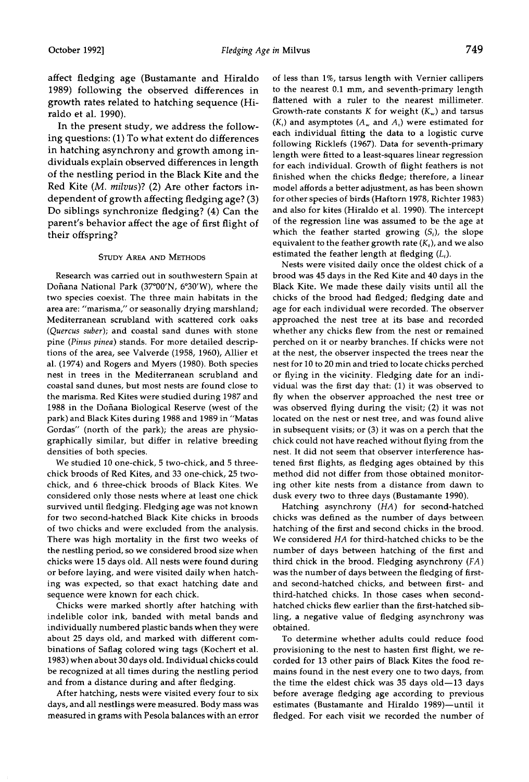**affect fledging age (Bustamante and Hiraldo 1989) following the observed differences in growth rates related to hatching sequence (Hiraldo et al. 1990).** 

**In the present study, we address the following questions: (1) To what extent do differences in hatching asynchrony and growth among individuals explain observed differences in length of the nestling period in the Black Kite and the Red Kite (M. milvus)? (2) Are other factors independent of growth affecting fledging age? (3) Do siblings synchronize fledging? (4) Can the parent's behavior affect the age of first flight of their offspring?** 

## **STUDY AREA AND METHODS**

**Research was carried out in southwestern Spain at**  Doñana National Park (37°00'N, 6°30'W), where the **two species coexist. The three main habitats in the area are: "marisma," or seasonally drying marshland; Mediterranean scrubland with scattered cork oaks (Quercus suber); and coastal sand dunes with stone pine (Pinus pinea) stands. For more detailed descriptions of the area, see Valverde (1958, 1960), Allier et al. (1974) and Rogers and Myers (1980). Both species nest in trees in the Mediterranean scrubland and coastal sand dunes, but most nests are found close to the marisma. Red Kites were studied during 1987 and 1988 in the Dofiana Biological Reserve (west of the park) and Black Kites during 1988 and 1989 in "Matas Gordas" (north of the park); the areas are physiographically similar, but differ in relative breeding densities of both species.** 

**We studied 10 one-chick, 5 two-chick, and 5 threechick broods of Red Kites, and 33 one-chick, 25 twochick, and 6 three-chick broods of Black Kites. We considered only those nests where at least one chick survived until fledging. Fledging age was not known for two second-hatched Black Kite chicks in broods of two chicks and were excluded from the analysis. There was high mortality in the first two weeks of the nestling period, so we considered brood size when chicks were 15 days old. All nests were found during or before laying, and were visited daily when hatching was expected, so that exact hatching date and sequence were known for each chick.** 

**Chicks were marked shortly after hatching with indelible color ink, banded with metal bands and individually numbered plastic bands when they were about 25 days old, and marked with different combinations of Saflag colored wing tags (Kochert et al. 1983) when about 30 days old. Individual chicks could be recognized at all times during the nestling period and from a distance during and after fledging.** 

**After hatching, nests were visited every four to six days, and all nestlings were measured. Body mass was measured in grams with Pesola balances with an error** 

**of less than 1%, tarsus length with Vernier callipers to the nearest 0.1 mm, and seventh-primary length flattened with a ruler to the nearest millimeter.**  Growth-rate constants  $K$  for weight  $(K_w)$  and tarsus  $(K<sub>i</sub>)$  and asymptotes  $(A<sub>w</sub>$  and  $A<sub>i</sub>)$  were estimated for **each individual fitting the data to a logistic curve following Ricklefs (1967). Data for seventh-primary length were fitted to a least-squares linear regression for each individual. Growth of flight feathers is not finished when the chicks fledge; therefore, a linear model affords a better adjustment, as has been shown for other species of birds (Haftorn 1978, Richter 1983) and also for kites (Hiraldo et al. 1990). The intercept of the regression line was assumed to be the age at**  which the feather started growing  $(S_i)$ , the slope equivalent to the feather growth rate  $(K<sub>i</sub>)$ , and we also estimated the feather length at fledging  $(L_i)$ .

**Nests were visited daily once the oldest chick of a brood was 45 days in the Red Kite and 40 days in the Black Kite. We made these daily visits until all the chicks of the brood had fledged; fledging date and age for each individual were recorded. The observer approached the nest tree at its base and recorded whether any chicks flew from the nest or remained perched on it or nearby branches. If chicks were not at the nest, the observer inspected the trees near the nest for 10 to 20 min and tried to locate chicks perched or flying in the vicinity. Fledging date for an individual was the first day that: (1) it was observed to fly when the observer approached the nest tree or was observed flying during the visit; (2) it was not located on the nest or nest tree, and was found alive in subsequent visits; or (3) it was on a perch that the chick could not have reached without flying from the nest. It did not seem that observer interference hastened first flights, as fledging ages obtained by this method did not differ from those obtained monitoring other kite nests from a distance from dawn to dusk every two to three days (Bustamante 1990).** 

**Hatching asynchrony (HA) for second-hatched chicks was defined as the number of days between hatching of the first and second chicks in the brood. We considered HA for third-hatched chicks to be the number of days between hatching of the first and third chick in the brood. Fledging asynchrony (FA) was the number of days between the fledging of firstand second-hatched chicks, and between first- and third-hatched chicks. In those cases when secondhatched chicks flew earlier than the first-hatched sibling, a negative value of fledging asynchrony was obtained.** 

**To determine whether adults could reduce food provisioning to the nest to hasten first flight, we recorded for 13 other pairs of Black Kites the food remains found in the nest every one to two days, from the time the eldest chick was 35 days old--13 days before average fledging age according to previous**  estimates (Bustamante and Hiraldo 1989)-until it **fledged. For each visit we recorded the number of**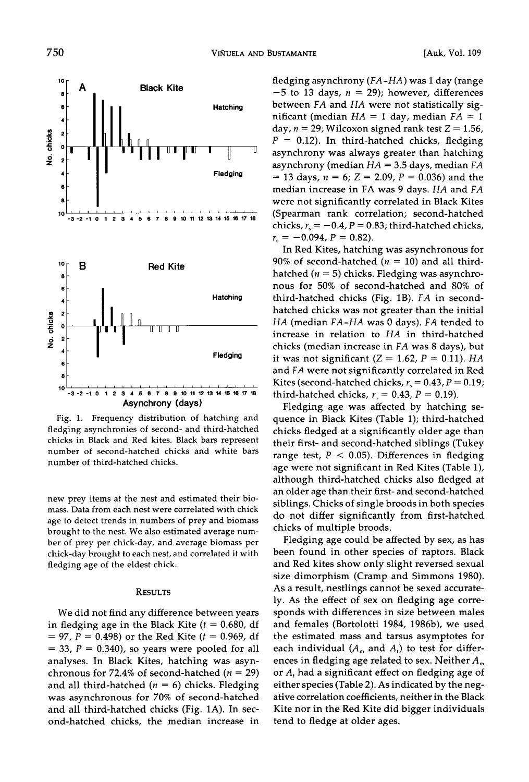

**Fig. 1. Frequency distribution of hatching and fledging asynchronies of second- and third-hatched chicks in Black and Red kites. Black bars represent number of second-hatched chicks and white bars number of third-hatched chicks.** 

**new prey items at the nest and estimated their biomass. Data from each nest were correlated with chick age to detect trends in numbers of prey and biomass brought to the nest. We also estimated average number of prey per chick-day, and average biomass per chick-day brought to each nest, and correlated it with fledging age of the eldest chick.** 

## **RESULTS**

**We did not find any difference between years**  in fledging age in the Black Kite  $(t = 0.680, df)$  $= 97, P = 0.498$  or the Red Kite ( $t = 0.969$ , df  $=$  33,  $P = 0.340$ ), so years were pooled for all **analyses. In Black Kites, hatching was asyn**chronous for  $72.4\%$  of second-hatched ( $n = 29$ ) and all third-hatched  $(n = 6)$  chicks. Fledging **was asynchronous for 70% of second-hatched and all third-hatched chicks (Fig. 1A). In second-hatched chicks, the median increase in**  **fledging asynchrony (FA-HA) was 1 day (range**   $-5$  to 13 days,  $n = 29$ ; however, differences **between FA and HA were not statistically sig**nificant (median  $HA = 1$  day, median  $FA = 1$ day,  $n = 29$ ; Wilcoxon signed rank test  $Z = 1.56$ , **P = 0.12). In third-hatched chicks, fledging asynchrony was always greater than hatching asynchrony (median HA = 3.5 days, median FA = 13 days, n = 6; Z = 2.09, P = 0.036) and the median increase in FA was 9 days. HA and FA were not significantly correlated in Black Kites (Spearman rank correlation; second-hatched**  chicks,  $r_s = -0.4$ ,  $P = 0.83$ ; third-hatched chicks,  $r_s = -0.094$ ,  $P = 0.82$ ).

**In Red Kites, hatching was asynchronous for 90% of second-hatched (n = 10) and all thirdhatched (n = 5) chicks. Fledging was asynchronous for 50% of second-hatched and 80% of third-hatched chicks (Fig. lB). FA in secondhatched chicks was not greater than the initial HA (median FA-HA was 0 days). FA tended to increase in relation to HA in third-hatched chicks (median increase in FA was 8 days), but**  it was not significant  $(Z = 1.62, P = 0.11)$ . *HA* **and FA were not significantly correlated in Red**  Kites (second-hatched chicks,  $r_s = 0.43$ ,  $P = 0.19$ ; third-hatched chicks,  $r_s = 0.43$ ,  $P = 0.19$ ).

**Fledging age was affected by hatching sequence in Black Kites (Table 1); third-hatched chicks fledged at a significantly older age than their first- and second-hatched siblings (Tukey range test, P < 0.05). Differences in fledging age were not significant in Red Kites (Table 1), although third-hatched chicks also fledged at an older age than their first- and second-hatched siblings. Chicks of single broods in both species do not differ significantly from first-hatched chicks of multiple broods.** 

**Fledging age could be affected by sex, as has been found in other species of raptors. Black and Red kites show only slight reversed sexual size dimorphism (Cramp and Simmons 1980). As a result, nestlings cannot be sexed accurately. As the effect of sex on fledging age corresponds with differences in size between males and females (Bortolotti 1984, 1986b), we used the estimated mass and tarsus asymptotes for**  each individual  $(A_m$  and  $A_t$ ) to test for differences in fledging age related to sex. Neither  $A_m$ or A<sub>t</sub> had a significant effect on fledging age of **either species (Table 2). As indicated by the negative correlation coefficients, neither in the Black Kite nor in the Red Kite did bigger individuals tend to fledge at older ages.**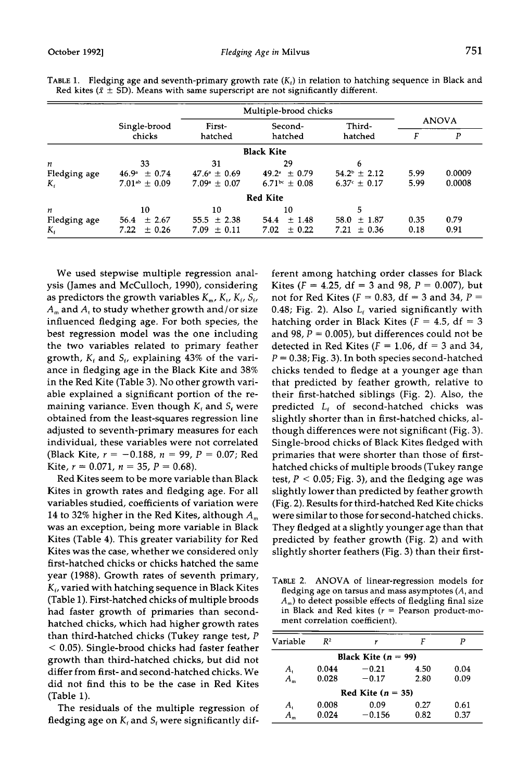|                   | Multiple-brood chicks   |                         |                    |                         |              |        |  |  |  |
|-------------------|-------------------------|-------------------------|--------------------|-------------------------|--------------|--------|--|--|--|
|                   | Single-brood            | First-                  | Second-            | Third-                  | <b>ANOVA</b> |        |  |  |  |
|                   | chicks                  | hatched                 | hatched            | hatched                 |              | P      |  |  |  |
| <b>Black Kite</b> |                         |                         |                    |                         |              |        |  |  |  |
| $\boldsymbol{n}$  | 33                      | 31                      | 29                 | 6                       |              |        |  |  |  |
| Fledging age      | $46.9^{\circ} \pm 0.74$ | $47.6^{\circ} \pm 0.69$ | $49.2^* + 0.79$    | $54.2^{\circ} \pm 2.12$ | 5.99         | 0.0009 |  |  |  |
| K,                | $7.01^{ab} \pm 0.09$    | $7.09^{\circ} \pm 0.07$ | $6.71bc \pm 0.08$  | $6.37^{\circ} \pm 0.17$ | 5.99         | 0.0008 |  |  |  |
|                   |                         |                         | <b>Red Kite</b>    |                         |              |        |  |  |  |
| n                 | 10                      | 10                      | 10                 | 5                       |              |        |  |  |  |
| Fledging age      | $\pm 2.67$<br>56.4      | 55.5 $\pm$ 2.38         | ±1.48<br>54.4      | $58.0 \pm 1.87$         | 0.35         | 0.79   |  |  |  |
| K,                | 7.22<br>$\pm$ 0.26      | $7.09 \pm 0.11$         | $\pm$ 0.22<br>7.02 | $\pm 0.36$<br>7.21      | 0.18         | 0.91   |  |  |  |

**TABLE 1.** Fledging age and seventh-primary growth rate  $(K<sub>i</sub>)$  in relation to hatching sequence in Black and Red kites ( $\bar{x} \pm SD$ ). Means with same superscript are not significantly different.

**We used stepwise multiple regression analysis (James and McCulloch, 1990), considering**  as predictors the growth variables  $K_m$ ,  $K_t$ ,  $K_t$ ,  $S_t$ , **Am and At to study whether growth and/or size influenced fledging age. For both species, the best regression model was the one including the two variables related to primary feather growth, K• and S•, explaining 43% of the variance in fledging age in the Black Kite and 38% in the Red Kite (Table 3). No other growth variable explained a significant portion of the re**maining variance. Even though  $K_t$  and  $S_t$  were **obtained from the least-squares regression line adjusted to seventh-primary measures for each individual, these variables were not correlated (Black Kite, r = -0.188, n = 99, P = 0.07; Red**  Kite,  $r = 0.071$ ,  $n = 35$ ,  $P = 0.68$ ).

**Red Kites seem to be more variable than Black Kites in growth rates and fledging age. For all variables studied, coefficients of variation were**  14 to 32% higher in the Red Kites, although  $A<sub>m</sub>$ **was an exception, being more variable in Black Kites (Table 4). This greater variability for Red Kites was the case, whether we considered only first-hatched chicks or chicks hatched the same year (1988). Growth rates of seventh primary, K•, varied with hatching sequence in Black Kites (Table 1). First-hatched chicks of multiple broods had faster growth of primaries than secondhatched chicks, which had higher growth rates than third-hatched chicks (Tukey range test, P < 0.05). Single-brood chicks had faster feather growth than third-hatched chicks, but did not differ from first- and second-hatched chicks. We did not find this to be the case in Red Kites (Table 1).** 

**The residuals of the multiple regression of**  fledging age on  $K_f$  and  $S_f$  were significantly dif**ferent among hatching order classes for Black**  Kites ( $F = 4.25$ , df = 3 and 98,  $P = 0.007$ ), but not for Red Kites ( $F = 0.83$ , df = 3 and 34,  $P =$  $0.48$ ; Fig. 2). Also  $L<sub>i</sub>$  varied significantly with hatching order in Black Kites  $(F = 4.5, df = 3)$ and 98,  $P = 0.005$ ), but differences could not be detected in Red Kites  $(F = 1.06, df = 3$  and 34,  $P = 0.38$ ; Fig. 3). In both species second-hatched **chicks tended to fledge at a younger age than that predicted by feather growth, relative to their first-hatched siblings (Fig. 2). Also, the predicted L• of second-hatched chicks was slightly shorter than in first-hatched chicks, although differences were not significant (Fig. 3). Single-brood chicks of Black Kites fledged with primaries that were shorter than those of firsthatched chicks of multiple broods (Tukey range test, P < 0.05; Fig. 3), and the fledging age was slightly lower than predicted by feather growth (Fig. 2). Results for third-hatched Red Kite chicks were similar to those for second-hatched chicks. They fledged at a slightly younger age than that predicted by feather growth (Fig. 2) and with slightly shorter feathers (Fig. 3) than their first-**

**TABLE 2. ANOVA of linear-regression models for fledging age on tarsus and mass asymptotes (A, and Am) to detect possible effects of fledgling final size in Black and Red kites (r = Pearson product-moment correlation coefficient).** 

| Variable              | R <sup>2</sup> | r        |      | р    |  |  |  |
|-----------------------|----------------|----------|------|------|--|--|--|
| Black Kite $(n = 99)$ |                |          |      |      |  |  |  |
| A,                    | 0.044          | $-0.21$  | 4.50 | 0.04 |  |  |  |
| $A_{-}$               | 0.028          | $-0.17$  | 2.80 | 0.09 |  |  |  |
| Red Kite $(n = 35)$   |                |          |      |      |  |  |  |
| $A_{\rm t}$           | 0.008          | 0.09     | 0.27 | 0.61 |  |  |  |
|                       | 0.024          | $-0.156$ | 0.82 | 0.37 |  |  |  |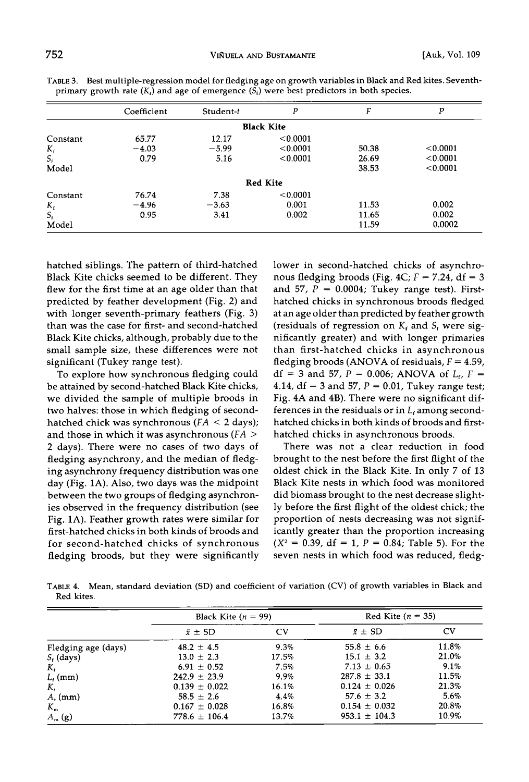|                | Coefficient | Student-t | P                 |       | P        |
|----------------|-------------|-----------|-------------------|-------|----------|
|                |             |           | <b>Black Kite</b> |       |          |
| Constant       | 65.77       | 12.17     | < 0.0001          |       |          |
| $K_{\rm f}$    | $-4.03$     | $-5.99$   | < 0.0001          | 50.38 | < 0.0001 |
| $S_{\epsilon}$ | 0.79        | 5.16      | < 0.0001          | 26.69 | < 0.0001 |
| Model          |             |           |                   | 38.53 | < 0.0001 |
|                |             |           | <b>Red Kite</b>   |       |          |
| Constant       | 76.74       | 7.38      | < 0.0001          |       |          |
| $K_i$          | $-4.96$     | $-3.63$   | 0.001             | 11.53 | 0.002    |
| $S_i$          | 0.95        | 3.41      | 0.002             | 11.65 | 0.002    |
| Model          |             |           |                   | 11.59 | 0.0002   |

**TABLE 3. Best multiple-regression model for fledging age on growth variables in Black and Red kites. Seventh**primary growth rate  $(K_t)$  and age of emergence  $(S_t)$  were best predictors in both species.

**hatched siblings. The pattern of third-hatched Black Kite chicks seemed to be different. They flew for the first time at an age older than that predicted by feather development (Fig. 2) and with longer seventh-primary feathers (Fig. 3) than was the case for first- and second-hatched Black Kite chicks, although, probably due to the small sample size, these differences were not significant (Tukey range test).** 

**To explore how synchronous fledging could be attained by second-hatched Black Kite chicks, we divided the sample of multiple broods in two halves: those in which fledging of secondhatched chick was synchronous (FA < 2 days); and those in which it was asynchronous (FA > 2 days). There were no cases of two days of fledging asynchrony, and the median of fledging asynchrony frequency distribution was one day (Fig. 1A). Also, two days was the midpoint between the two groups of fledging asynchronies observed in the frequency distribution (see Fig. 1A). Feather growth rates were similar for first-hatched chicks in both kinds of broods and for second-hatched chicks of synchronous fledging broods, but they were significantly**  **lower in second-hatched chicks of asynchro**nous fledging broods (Fig.  $4C$ ;  $F = 7.24$ ,  $df = 3$ and  $57$ ,  $P = 0.0004$ ; Tukey range test). First**hatched chicks in synchronous broods fledged at an age older than predicted by feather growth**  (residuals of regression on  $K_f$  and  $S_f$  were sig**nificantly greater) and with longer primaries than first-hatched chicks in asynchronous fledging broods (ANOVA of residuals, F = 4.59,**   $df = 3$  and 57,  $P = 0.006$ ; ANOVA of  $L_f$ ,  $F =$ **4.14, df = 3 and 57, P = 0.01, Tukey range test; Fig. 4A and 4B). There were no significant differences in the residuals or in L• among secondhatched chicks in both kinds of broods and firsthatched chicks in asynchronous broods.** 

**There was not a clear reduction in food brought to the nest before the first flight of the oldest chick in the Black Kite. In only 7 of 13 Black Kite nests in which food was monitored did biomass brought to the nest decrease slightly before the first flight of the oldest chick; the proportion of nests decreasing was not significantly greater than the proportion increasing**   $(X^2 = 0.39, df = 1, P = 0.84; Table 5)$ . For the **seven nests in which food was reduced, fledg-**

TABLE 4. Mean, standard deviation (SD) and coefficient of variation (CV) of growth variables in Black and **Red kites.** 

|                     | Black Kite ( $n = 99$ ) |       | Red Kite $(n = 35)$ |       |  |
|---------------------|-------------------------|-------|---------------------|-------|--|
|                     | $\bar{x} \pm SD$        | CV    | $\bar{x} \pm SD$    | CV    |  |
| Fledging age (days) | $48.2 \pm 4.5$          | 9.3%  | $55.8 \pm 6.6$      | 11.8% |  |
| $S_t$ (days)        | $13.0 \pm 2.3$          | 17.5% | $15.1 \pm 3.2$      | 21.0% |  |
| K,                  | $6.91 \pm 0.52$         | 7.5%  | $7.13 \pm 0.65$     | 9.1%  |  |
| $L_f$ (mm)          | $242.9 \pm 23.9$        | 9.9%  | $287.8 \pm 33.1$    | 11.5% |  |
| K,                  | $0.139 \pm 0.022$       | 16.1% | $0.124 \pm 0.026$   | 21.3% |  |
| $A$ , (mm)          | $58.5 \pm 2.6$          | 4.4%  | $57.6 \pm 3.2$      | 5.6%  |  |
| $K_{m}$             | $0.167 \pm 0.028$       | 16.8% | $0.154 \pm 0.032$   | 20.8% |  |
| $A_m$ (g)           | $778.6 \pm 106.4$       | 13.7% | $953.1 \pm 104.3$   | 10.9% |  |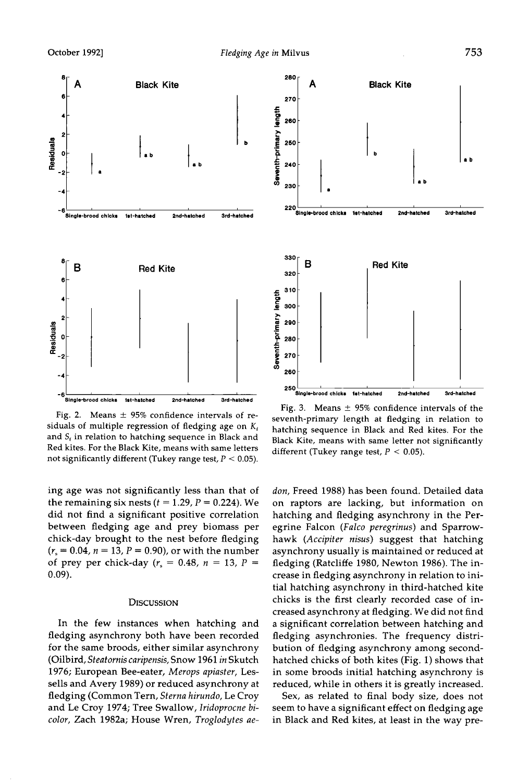

Fig. 2. Means  $\pm$  95% confidence intervals of residuals of multiple regression of fledging age on  $K_t$ and S<sub>t</sub> in relation to hatching sequence in Black and **Red kites. For the Black Kite, means with same letters not significantly different (Tukey range test, P < 0.05).** 

**ing age was not significantly less than that of**  the remaining six nests  $(t = 1.29, P = 0.224)$ . We **did not find a significant positive correlation between fledging age and prey biomass per chick-day brought to the nest before fledging**   $(r_s = 0.04, n = 13, P = 0.90)$ , or with the number of prey per chick-day ( $r_s = 0.48$ ,  $n = 13$ ,  $P =$ **0.09).** 

### **DISCUSSION**

**In the few instances when hatching and fledging asynchrony both have been recorded for the same broods, either similar asynchrony (Oilbird, Steatornis caripensis, Snow 1961 in Skutch 1976; European Bee-eater, Merops apiaster, Lessells and Avery 1989) or reduced asynchrony at fledging (Common Tern, Sterna hirundo, Le Croy and Le Croy 1974; Tree Swallow, Iridoprocne bicolor, Zach 1982a; House Wren, Troglodytes ae-**



Fig. 3. Means  $\pm$  95% confidence intervals of the **seventh-primary length at tledging in relation to hatching sequence in Black and Red kites. For the Black Kite, means with same letter not significantly different (Tukey range test, P < 0.05).** 

**don, Freed 1988) has been found. Detailed data on raptors are lacking, but information on hatching and fledging asynchrony in the Peregrine Falcon (Falco peregrinus) and Sparrowhawk (Accipiter nisus) suggest that hatching asynchrony usually is maintained or reduced at fledging (Ratcliffe 1980, Newton 1986). The increase in fledging asynchrony in relation to initial hatching asynchrony in third-hatched kite chicks is the first clearly recorded case of increased asynchrony at fledging. We did not find a significant correlation between hatching and fledging asynchronies. The frequency distribution of fledging asynchrony among secondhatched chicks of both kites (Fig. 1) shows that in some broods initial hatching asynchrony is reduced, while in others it is greatly increased.** 

**Sex, as related to final body size, does not seem to have a significant effect on fledging age in Black and Red kites, at least in the way pre-**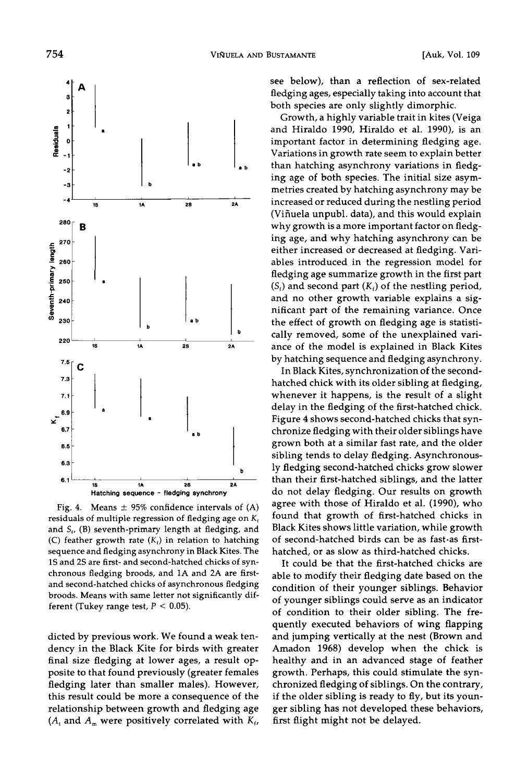

Fig. 4.  $Means \pm 95\%$  confidence intervals of  $(A)$ residuals of multiple regression of fledging age on  $K_f$ **and S,, (B) seventh-primary length at fledging, and**  (C) feather growth rate  $(K_i)$  in relation to hatching **sequence and fledging asynchrony in Black Kites. The 1S and 2S are first- and second-hatched chicks of synchronous fledging broods, and 1A and 2A are firstand second-hatched chicks of asynchronous fledging broods. Means with same letter not significantly dif**ferent (Tukey range test,  $P < 0.05$ ).

**dicted by previous work. We found a weak tendency in the Black Kite for birds with greater final size fledging at lower ages, a result op**posite to that found previously (greater females **fledging later than smaller males). However, this result could be more a consequence of the relationship between growth and fledging age**   $(A_t$  and  $A_m$  were positively correlated with  $K_t$ , **see below), than a reflection of sex-related fledging ages, especially taking into account that both species are only slightly dimorphic.** 

**Growth, a highly variable trait in kites (Veiga and Hiraldo 1990, Hiraldo et al. 1990), is an important factor in determining fledging age. Variations in growth rate seem to explain better than hatching asynchrony variations in fledging age of both species. The initial size asymmetries created by hatching asynchrony may be increased or reduced during the nestling period (Vifiuela tmpubl. data), and this would explain why growth is a more important factor on fledging age, and why hatching asynchrony can be either increased or decreased at fledging. Variables introduced in the regression model for fledging age summarize growth in the first part**   $(S_f)$  and second part  $(K_f)$  of the nestling period, **and no other growth variable explains a significant part of the remaining variance. Once the effect of growth on fledging age is statisti**cally removed, some of the unexplained vari**ance of the model is explained in Black Kites by hatching sequence and fledging asynchrony.** 

**In Black Kites, synchronization of the secondhatched chick with its older sibling at fledging, whenever it happens, is the result of a slight delay in the fledging of the first-hatched chick. Figure 4 shows second-hatched chicks that synchronize fledging with their older siblings have grown both at a similar fast rate, and the older sibling tends to delay fledging. Asynchronously fledging second-hatched chicks grow slower than their first-hatched siblings, and the latter do not delay fledging. Our results on growth agree with those of Hiraldo et al. (1990), who found that growth of first-hatched chicks in Black Kites shows little variation, while growth of second-hatched birds can be as fast-as firsthatched, or as slow as third-hatched chicks.** 

**It could be that the first-hatched chicks are able to modify their fledging date based on the condition of their yotmger siblings. Behavior of younger siblings could serve as an indicator of condition to their older sibling. The frequently executed behaviors of wing flapping and jumping vertically at the nest (Brown and Amadon 1968) develop when the chick is healthy and in an advanced stage of feather growth. Perhaps, this could stimulate the synchronized fledging of siblings. On the contrary,**  if the older sibling is ready to fly, but its youn**ger sibling has not developed these behaviors, first flight might not be delayed.**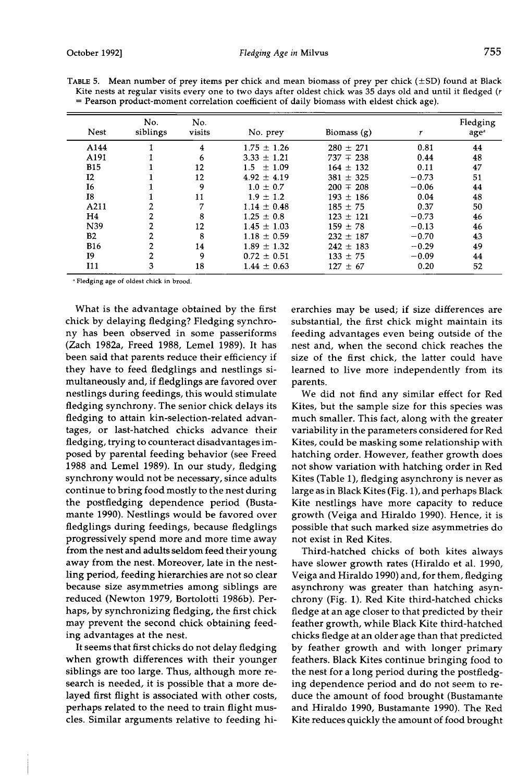| No.<br>siblings | No.<br>visits | No. prey        | Biomass $(g)$ |         | Fledging<br>age <sup>a</sup> |
|-----------------|---------------|-----------------|---------------|---------|------------------------------|
|                 | 4             | $1.75 \pm 1.26$ | $280 \pm 271$ | 0.81    | 44                           |
|                 | 6             | $3.33 \pm 1.21$ | $737 \pm 238$ | 0.44    | 48                           |
|                 | 12            | $1.5 + 1.09$    | $164 \pm 132$ | 0.11    | 47                           |
|                 | 12            | $4.92 \pm 4.19$ | $381 \pm 325$ | $-0.73$ | 51                           |
|                 | 9             | $1.0 \pm 0.7$   | $200 \pm 208$ | $-0.06$ | 44                           |
|                 | 11            | $1.9 \pm 1.2$   | $193 \pm 186$ | 0.04    | 48                           |
|                 | 7             | $1.14 \pm 0.48$ | $185 + 75$    | 0.37    | 50                           |
| $\overline{2}$  | 8             | $1.25 \pm 0.8$  | $123 \pm 121$ | $-0.73$ | 46                           |
| 2               | 12            | $1.45 \pm 1.03$ | $159 + 78$    | $-0.13$ | 46                           |
| $\overline{2}$  | 8             | $1.18 \pm 0.59$ | $232 \pm 187$ | $-0.70$ | 43                           |
| 2               | 14            | $1.89 \pm 1.32$ | $242 \pm 183$ | $-0.29$ | 49                           |
| $\overline{2}$  | 9             | $0.72 \pm 0.51$ | $133 \pm 75$  | $-0.09$ | 44                           |
| 3               | 18            | $1.44 \pm 0.63$ | $127 \pm 67$  | 0.20    | 52                           |
|                 |               |                 |               |         |                              |

TABLE 5. Mean number of prey items per chick and mean biomass of prey per chick (±SD) found at Black **Kite nests at regular visits every one to two days after oldest chick was 35 days old and until it fledged (r = Pearson product-moment correlation coefficient of daily biomass with eldest chick age).** 

**• Fledging age of oldest chick in brood.** 

**What is the advantage obtained by the first chick by delaying fledging? Fledging synchrony has been observed in some passeriforms (Zach 1982a, Freed 1988, Lemel 1989). It has been said that parents reduce their efficiency if they have to feed fledglings and nestlings simultaneously and, if fledglings are favored over nestlings during feedings, this would stimulate fledging synchrony. The senior chick delays its fledging to attain kin-selection-related advantages, or last-hatched chicks advance their fledging, trying to counteract disadvantages imposed by parental feeding behavior (see Freed 1988 and Lemel 1989). In our study, fledging synchrony would not be necessary, since adults continue to bring food mostly to the nest during the postfledging dependence period (Bustamante 1990). Nestlings would be favored over fledglings during feedings, because fledglings progressively spend more and more time away from the nest and adults seldom feed their young away from the nest. Moreover, late in the nestling period, feeding hierarchies are not so clear because size asymmetries among siblings are reduced (Newton 1979, Bortolotti 1986b). Perhaps, by synchronizing fledging, the first chick may prevent the second chick obtaining feeding advantages at the nest.** 

**It seems that first chicks do not delay fledging when growth differences with their younger siblings are too large. Thus, although more research is needed, it is possible that a more delayed first flight is associated with other costs, perhaps related to the need to train flight muscles. Similar arguments relative to feeding hi-** **erarchies may be used; if size differences are substantial, the first chick might maintain its feeding advantages even being outside of the nest and, when the second chick reaches the size of the first chick, the latter could have learned to live more independently from its parents.** 

**We did not find any similar effect for Red Kites, but the sample size for this species was much smaller. This fact, along with the greater variability in the parameters considered for Red Kites, could be masking some relationship with hatching order. However, feather growth does not show variation with hatching order in Red Kites (Table 1), fledging asynchrony is never as large as in Black Kites (Fig. 1), and perhaps Black Kite nestlings have more capacity to reduce growth (Veiga and Hiraldo 1990). Hence, it is possible that such marked size asymmetries do not exist in Red Kites.** 

**Third-hatched chicks of both kites always have slower growth rates (Hiraldo et al. 1990, Veiga and Hiraldo 1990) and, for them, fledging asynchrony was greater than hatching asynchrony (Fig. 1). Red Kite third-hatched chicks fledge at an age closer to that predicted by their feather growth, while Black Kite third-hatched chicks fledge at an older age than that predicted by feather growth and with longer primary feathers. Black Kites continue bringing food to the nest for a long period during the postfledging dependence period and do not seem to reduce the amount of food brought (Bustamante and Hiraldo 1990, Bustamante 1990). The Red Kite reduces quickly the amount of food brought**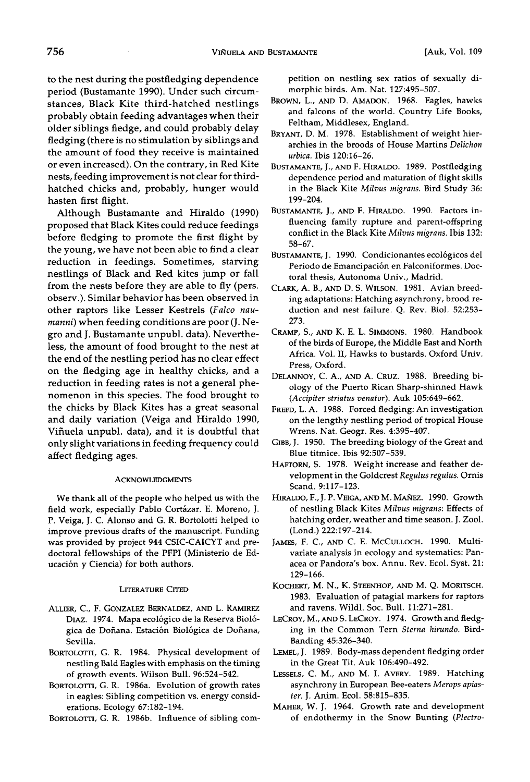**tO the nest during the postfledging dependence period (Bustamante 1990). Under such circumstances, Black Kite third-hatched nestlings probably obtain feeding advantages when their older siblings fledge, and could probably delay fledging (there is no stimulation by siblings and the amount of food they receive is maintained or even increased). On the contrary, in Red Kite nests, feeding improvement is not clear for thirdhatched chicks and, probably, hunger would hasten first flight.** 

**Although Bustamante and Hiraldo (1990) proposed that Black Kites could reduce feedings before fledging to promote the first flight by the young, we have not been able to find a clear reduction in feedings. Sometimes, starving nestlings of Black and Red kites jump or fall**  from the nests before they are able to fly (pers. **observ.). Similar behavior has been observed in other raptors like Lesser Kestrels (Falco naumanni) when feeding conditions are poor (J. Negro and J. Bustamante unpubl. data). Nevertheless, the amount of food brought to the nest at the end of the nestling period has no clear effect on the fledging age in healthy chicks, and a reduction in feeding rates is not a general phenomenon in this species. The food brought to the chicks by Black Kites has a great seasonal**  and daily variation (Veiga and Hiraldo 1990, **Vifiuela unpubl. data), and it is doubtful that only slight variations in feeding frequency could affect fledging ages.** 

#### **ACKNOWLEDGMENTS**

**We thank all of the people who helped us with the**  field work, especially Pablo Cortázar. E. Moreno, J. **P. Veiga, J. C. Alonso and G. R. Bortolotti helped to improve previous drafts of the manuscript. Funding was provided by project 944 CSIC-CAICYT and predoctoral fellowships of the PFPI (Ministerio de Educaci6n y Ciencia) for both authors.** 

### **LITERATURE CITED**

- **ALLIER, C., F. GONZALEZ BERNALDEZ, AND L. RAMIREZ DIAZ. 1974. Mapa eco16gico de la Reserva Bio16**  gica de Doñana. Estación Biológica de Doñana, **Sevilla.**
- **BORTOLOTTI, G.R. 1984. Physical development of nestling Bald Eagles with emphasis on the timing of growth events. Wilson Bull. 96:524-542.**
- BORTOLOTTI, G. R. 1986a. Evolution of growth rates **in eagles: Sibling competition vs. energy considerations. Ecology 67:182-194.**
- BORTOLOTTI, G. R. 1986b. Influence of sibling com-

**petition on nestling sex ratios of sexually dimorphic birds. Am. Nat. 127:495-507.** 

- **BROWN, L., AND D. AMADON. 1968. Eagles, hawks and falcons of the world. Country Life Books, Feltham, Middlesex, England.**
- **BRYANT, D.M. 1978. Establishment of weight hierarchies in the broods of House Martins Delichon urbica. Ibis 120:16-26.**
- **BUSTAMANTE, J.AND F. HIRALDO. 1989. Postfledging dependence period and maturation of flight skills in the Black Kite Milvus migrans. Bird Study 36: 199-204.**
- **BUSTAMANTE, J., AND F. HIRALDO. 1990. Factors influencing family rupture and parent-offspring conflict in the Black Kite Milvus migrans. Ibis 132: 58-67.**
- BUSTAMANTE, J. 1990. Condicionantes ecológicos del Periodo de Emancipación en Falconiformes. Doc**toral thesis, Autonoma Univ., Madrid.**
- CLARK, A. B., AND D. S. WILSON. 1981. Avian breed**ing adaptations: Hatching asynchrony, brood reduction and nest failure. Q. Rev. Biol. 52:253- 273.**
- CRAMP, S., AND K. E. L. SIMMONS. 1980. Handbook **of the birds of Europe, the Middle East and North Africa. Vol. II, Hawks to bustards. Oxford Univ. Press, Oxford.**
- DELANNOY, C. A., AND A. CRUZ. 1988. Breeding bi**ology of the Puerto Rican Sharp-shinned Hawk (Accipiter striatus venator). Auk 105:649-662.**
- **FREFD, L.A. 1988. Forced fledging: An investigation on the lengthy nestling period of tropical House Wrens. Nat. Geogr. Res. 4:395-407.**
- GIBB, J. 1950. The breeding biology of the Great and **Blue titmice. Ibis 92:507-539.**
- **HAFTORN, S. 1978. Weight increase and feather development in the Goldcrest Regulus regulus. Ornis Scand. 9:117-123.**
- HIRALDO, F., J. P. VEIGA, AND M. MAÑEZ. 1990. Growth **of nestling Black Kites Milvus migrans: Effects of hatching order, weather and time season. J. Zool. (Lond.) 222:197-214.**
- **JAMES, F. C., AND C. E. MCCULLOCH. 1990. Multivariate analysis in ecology and systematics: Panacea or Pandora's box. Annu. Rev. Ecol. Syst. 21: 129-166.**
- KOCHERT, M. N., K. STEENHOF, AND M. Q. MORITSCH. **1983. Evaluation of patagial markers for raptors and ravens. Wildl. Soc. Bull. 11:271-281.**
- **LECROY, M.,AND S. LECROY. 1974. Growth and fledging in the Common Tern Sterna hirundo. Bird-Banding 45:326-340.**
- **LEMEL, J. 1989. Body-mass dependent fledging order in the Great Tit. Auk 106:490-492.**
- **LESSELS, C. M., AND M. I. AVERY. 1989. Hatching asynchrony in European Bee-eaters Merops apiaster. J. Anim. Ecol. 58:815-835.**
- **MAHER, W. J. 1964. Growth rate and development of endothermy in the Snow Bunting (Plectro-**